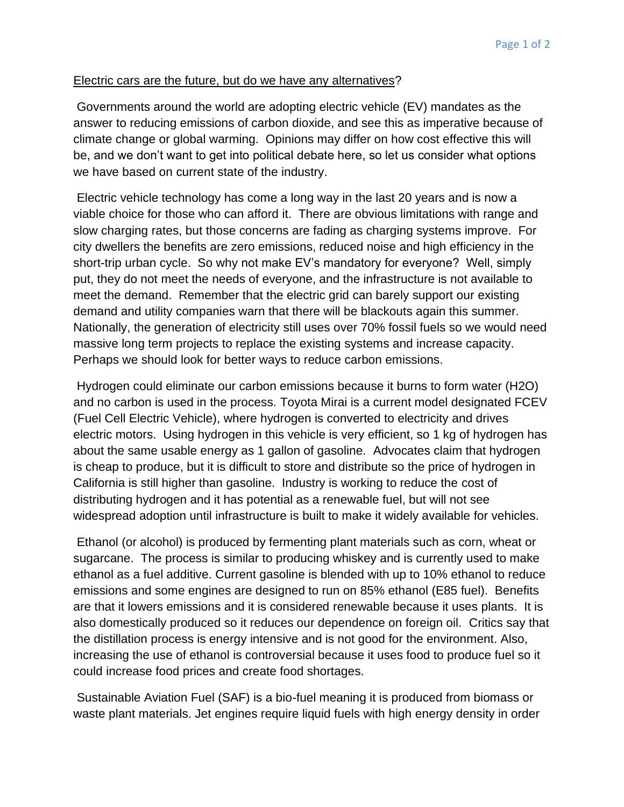## Electric cars are the future, but do we have any alternatives?

Governments around the world are adopting electric vehicle (EV) mandates as the answer to reducing emissions of carbon dioxide, and see this as imperative because of climate change or global warming. Opinions may differ on how cost effective this will be, and we don't want to get into political debate here, so let us consider what options we have based on current state of the industry.

Electric vehicle technology has come a long way in the last 20 years and is now a viable choice for those who can afford it. There are obvious limitations with range and slow charging rates, but those concerns are fading as charging systems improve. For city dwellers the benefits are zero emissions, reduced noise and high efficiency in the short-trip urban cycle. So why not make EV's mandatory for everyone? Well, simply put, they do not meet the needs of everyone, and the infrastructure is not available to meet the demand. Remember that the electric grid can barely support our existing demand and utility companies warn that there will be blackouts again this summer. Nationally, the generation of electricity still uses over 70% fossil fuels so we would need massive long term projects to replace the existing systems and increase capacity. Perhaps we should look for better ways to reduce carbon emissions.

Hydrogen could eliminate our carbon emissions because it burns to form water (H2O) and no carbon is used in the process. Toyota Mirai is a current model designated FCEV (Fuel Cell Electric Vehicle), where hydrogen is converted to electricity and drives electric motors. Using hydrogen in this vehicle is very efficient, so 1 kg of hydrogen has about the same usable energy as 1 gallon of gasoline. Advocates claim that hydrogen is cheap to produce, but it is difficult to store and distribute so the price of hydrogen in California is still higher than gasoline. Industry is working to reduce the cost of distributing hydrogen and it has potential as a renewable fuel, but will not see widespread adoption until infrastructure is built to make it widely available for vehicles.

Ethanol (or alcohol) is produced by fermenting plant materials such as corn, wheat or sugarcane. The process is similar to producing whiskey and is currently used to make ethanol as a fuel additive. Current gasoline is blended with up to 10% ethanol to reduce emissions and some engines are designed to run on 85% ethanol (E85 fuel). Benefits are that it lowers emissions and it is considered renewable because it uses plants. It is also domestically produced so it reduces our dependence on foreign oil. Critics say that the distillation process is energy intensive and is not good for the environment. Also, increasing the use of ethanol is controversial because it uses food to produce fuel so it could increase food prices and create food shortages.

Sustainable Aviation Fuel (SAF) is a bio-fuel meaning it is produced from biomass or waste plant materials. Jet engines require liquid fuels with high energy density in order